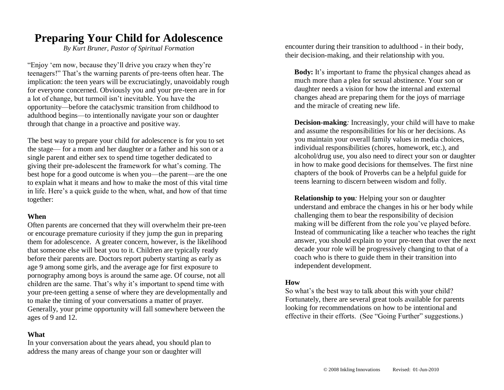# **Preparing Your Child for Adolescence**

*By Kurt Bruner, Pastor of Spiritual Formation*

"Enjoy 'em now, because they'll drive you crazy when they're teenagers!" That's the warning parents of pre-teens often hear. The implication: the teen years will be excruciatingly, unavoidably rough for everyone concerned. Obviously you and your pre-teen are in for a lot of change, but turmoil isn't inevitable. You have the opportunity—before the cataclysmic transition from childhood to adulthood begins—to intentionally navigate your son or daughter through that change in a proactive and positive way.

The best way to prepare your child for adolescence is for you to set the stage— for a mom and her daughter or a father and his son or a single parent and either sex to spend time together dedicated to giving their pre-adolescent the framework for what's coming. The best hope for a good outcome is when you—the parent—are the one to explain what it means and how to make the most of this vital time in life. Here's a quick guide to the when, what, and how of that time together:

## **When**

Often parents are concerned that they will overwhelm their pre-teen or encourage premature curiosity if they jump the gun in preparing them for adolescence. A greater concern, however, is the likelihood that someone else will beat you to it. Children are typically ready before their parents are. Doctors report puberty starting as early as age 9 among some girls, and the average age for first exposure to pornography among boys is around the same age. Of course, not all children are the same. That's why it's important to spend time with your pre-teen getting a sense of where they are developmentally and to make the timing of your conversations a matter of prayer. Generally, your prime opportunity will fall somewhere between the ages of 9 and 12.

## **What**

In your conversation about the years ahead, you should plan to address the many areas of change your son or daughter will

encounter during their transition to adulthood - in their body, their decision-making, and their relationship with you.

**Body:** It's important to frame the physical changes ahead as much more than a plea for sexual abstinence. Your son or daughter needs a vision for how the internal and external changes ahead are preparing them for the joys of marriage and the miracle of creating new life.

**Decision-making***:* Increasingly, your child will have to make and assume the responsibilities for his or her decisions. As you maintain your overall family values in media choices, individual responsibilities (chores, homework, etc.), and alcohol/drug use, you also need to direct your son or daughter in how to make good decisions for themselves. The first nine chapters of the book of Proverbs can be a helpful guide for teens learning to discern between wisdom and folly.

**Relationship to you***:* Helping your son or daughter understand and embrace the changes in his or her body while challenging them to bear the responsibility of decision making will be different from the role you've played before. Instead of communicating like a teacher who teaches the right answer, you should explain to your pre-teen that over the next decade your role will be progressively changing to that of a coach who is there to guide them in their transition into independent development.

## **How**

So what's the best way to talk about this with your child? Fortunately, there are several great tools available for parents looking for recommendations on how to be intentional and effective in their efforts. (See "Going Further" suggestions.)